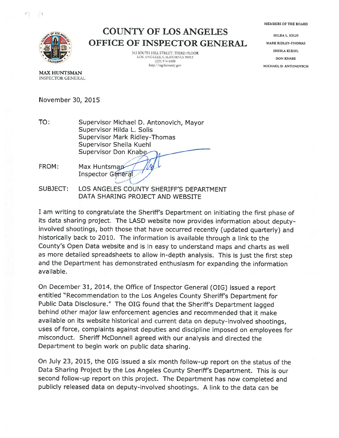MEMBERS OF THE BOARD



'1

## COUNTY OF LOS ANGELES OFFICE OF INSPECTOR GENERAL

312 SOUTH HILL STREET, THIRD FLOOR LOS ANGELES, CALIFORNIA 90013  $(213)$  974-6100 http://oig.lacounty.gov

HILDA L SOLIS MARK RIDLEY-THOMAS SHEILA KUEHL DON KNABE MICHAEL D. ANTONOVICH

MAX HUNTSMAN **INSPECTOR GENERAL** 

November 30, 2015

TO: Supervisor Michael D. Antonovich, Mayor Supervisor Hilda L. Solis Supervisor Mark Ridley-Thomas Supervisor Sheila Kuehl **Supervisor Don Knabe** 

> Max Huntsmap **Inspector General**

FROM:

SUBJECT: LOS ANGELES COUNTY SHERIFF'S DEPARTMENT DATA SHARING PROJECT AND WEBSITE

<sup>I</sup> am writing to congratulate the Sheriff's Department on initiating the first <sup>p</sup>hase of its data sharing project. The LASD website now provides information about deputyinvolved shootings, both those that have occurred recently (updated quarterly) and historically back to 2010. The information is available through <sup>a</sup> link to the County's Open Data website and is in easy to understand maps and charts as well as more detailed spreadsheets to allow in-depth analysis. This is just the first step and the Department has demonstrated enthusiasm for expanding the information available.

On December 31, 2014, the Office of Inspector General (OIG) issued a report entitled "Recommendation to the Los Angeles County Sheriff's Department for Public Data Disclosure." The OIG found that the Sheriff's Department lagged behind other major law enforcement agencies and recommended that it make available on its website historical and current data on deputy-involved shootings, uses of force, complaints against deputies and discipline imposed on employees for misconduct. Sheriff McDonnell agreed with our analysis and directed the Department to begin work on public data sharing.

On July 23, 2015, the OIG issued <sup>a</sup> six month follow-up report on the status of the Data Sharing Project by the Los Angeles County Sheriff's Department. This is our second follow-up report on this project. The Department has now completed and publicly released data on deputy-involved shootings. <sup>A</sup> link to the data can be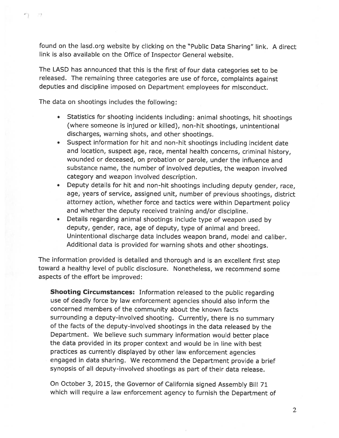found on the lasd.org website by clicking on the "Public Data Sharing" link. <sup>A</sup> direct link is also available on the Office of Inspector General website.

The LASD has announced that this is the first of four data categories set to be released. The remaining three categories are use of force, complaints against deputies and discipline imposed on Department employees for misconduct.

The data on shootings includes the following:

x\*).

- • Statistics for shooting incidents including: animal shootings, hit shootings (where someone is injured or killed), non-hit shootings, unintentional discharges, warning shots, and other shootings.
- Suspect information for hit and non-hit shootings including incident date and location, suspect age, race, mental health concerns, criminal history, wounded or deceased, on probation or parole, under the influence and substance name, the number of involved deputies, the weapon involved category and weapon involved description.
- Deputy details for hit and non-hit shootings including deputy gender, race, age, years of service, assigned unit, number of previous shootings, district attorney action, whether force and tactics were within Department policy and whether the deputy received training and/or discipline.
- Details regarding animal shootings include type of weapon used by deputy, gender, race, age of deputy, type of animal and breed. Unintentional discharge data includes weapon brand, model and caliber. Additional data is provided for warning shots and other shootings.

The information provided is detailed and thorough and is an excellent first step toward <sup>a</sup> healthy level of public disclosure. Nonetheless, we recommend some aspects of the effort be improved:

**Shooting Circumstances:** Information released to the public regarding use of deadly force by law enforcement agencies should also inform the concerned members of the community about the known facts surrounding <sup>a</sup> deputy-involved shooting. Currently, there is no summary of the facts of the deputy-involved shootings in the data released by the Department. We believe such summary information would better <sup>p</sup>lace the data provided in its proper context and would be in line with best practices as currently displayed by other law enforcement agencies engaged in data sharing. We recommend the Department provide <sup>a</sup> brief synopsis of all deputy-involved shootings as part of their data release.

On October 3, 2015, the Governor of California signed Assembly Bill <sup>71</sup> which will require <sup>a</sup> law enforcement agency to furnish the Department of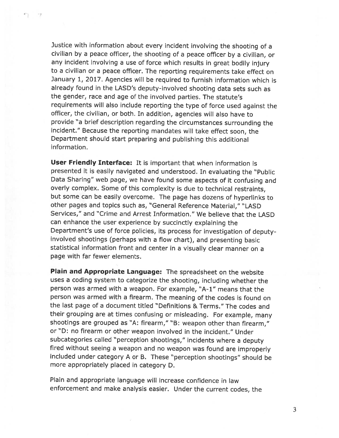Justice with information about every incident involving the shooting of <sup>a</sup> civilian by <sup>a</sup> peace officer, the shooting of <sup>a</sup> peace officer by <sup>a</sup> civilian, or any incident involving <sup>a</sup> use of force which results in great bodily injury to <sup>a</sup> civilian or <sup>a</sup> peace officer. The reporting requirements take effect on January 1, 2017. Agencies will be required to furnish information which is already found in the LASD's deputy-involved shooting data sets such as the gender, race and age of the involved parties. The statute's requirements will also include reporting the type of force used against the officer, the civilian, or both. In addition, agencies will also have to provide "a brief description regarding the circumstances surrounding the incident." Because the reporting mandates will take effect soon, the Department should start preparing and publishing this additional information.

r.

User Friendly Interface: It is important that when information is presented it is easily navigated and understood. In evaluating the "Public Data Sharing" web page, we have found some aspects of it confusing and overly complex. Some of this complexity is due to technical restraints, but some can be easily overcome. The page has dozens of hyperlinks to other pages and topics such as, "General Reference Material," "LASD Services," and "Crime and Arrest Information." We believe that the LASD can enhance the user experience by succinctly explaining the Department's use of force policies, its process for investigation of deputy involved shootings (perhaps with <sup>a</sup> flow chart), and presenting basic statistical information front and center in <sup>a</sup> visually clear manner on <sup>a</sup> page with far fewer elements.

Plain and Appropriate Language: The spreadsheet on the website uses <sup>a</sup> coding system to categorize the shooting, including whether the person was armed with a weapon. For example, "A-1" means that the person was armed with <sup>a</sup> firearm. The meaning of the codes is found on the last page of <sup>a</sup> document titled "Definitions & Terms." The codes and their grouping are at times confusing or misleading. For example, many shootings are grouped as "A: firearm," "B: weapon other than firearm," or "D: no firearm or other weapon involved in the incident." Under subcategories called "perception shootings," incidents where <sup>a</sup> deputy fired without seeing <sup>a</sup> weapon and no weapon was found are improperly included under category <sup>A</sup> or B. These "perception shootings" should be more appropriately placed in category D.

Plain and appropriate language will increase confidence in law enforcement and make analysis easier. Under the current codes, the